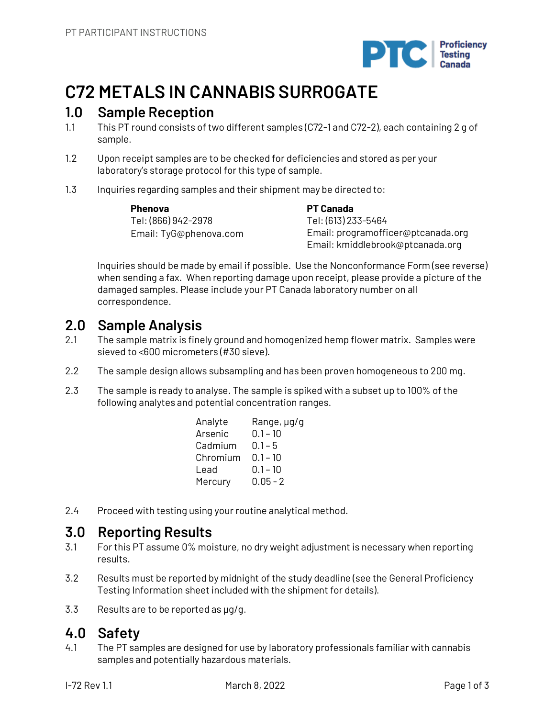

# **C72 METALS IN CANNABIS SURROGATE**

## **1.0 Sample Reception**

- 1.1 This PT round consists of two different samples (C72-1 and C72-2), each containing 2 g of sample.
- 1.2 Upon receipt samples are to be checked for deficiencies and stored as per your laboratory's storage protocol for this type of sample.
- 1.3 Inquiries regarding samples and their shipment may be directed to:

**Phenova** Tel: (866) 942-2978 Email: TyG@phenova.com **PT Canada** Tel: (613) 233-5464 Email: programofficer@ptcanada.org Email: kmiddlebrook@ptcanada.org

Inquiries should be made by email if possible. Use the Nonconformance Form (see reverse) when sending a fax. When reporting damage upon receipt, please provide a picture of the damaged samples. Please include your PT Canada laboratory number on all correspondence.

## **2.0 Sample Analysis**

- 2.1 The sample matrix is finely ground and homogenized hemp flower matrix. Samples were sieved to <600 micrometers (#30 sieve).
- 2.2 The sample design allows subsampling and has been proven homogeneous to 200 mg.
- 2.3 The sample is ready to analyse. The sample is spiked with a subset up to 100% of the following analytes and potential concentration ranges.

| Analyte  | Range, µg/g |
|----------|-------------|
| Arsenic  | $0.1 - 10$  |
| Cadmium  | $0.1 - 5$   |
| Chromium | $0.1 - 10$  |
| Lead     | $0.1 - 10$  |
| Mercury  | $0.05 - 2$  |

2.4 Proceed with testing using your routine analytical method.

# **3.0 Reporting Results**

- 3.1 For this PT assume 0% moisture, no dry weight adjustment is necessary when reporting results.
- 3.2 Results must be reported by midnight of the study deadline (see the General Proficiency Testing Information sheet included with the shipment for details).
- 3.3 Results are to be reported as µg/g.

# **4.0 Safety**

4.1 The PT samples are designed for use by laboratory professionals familiar with cannabis samples and potentially hazardous materials.